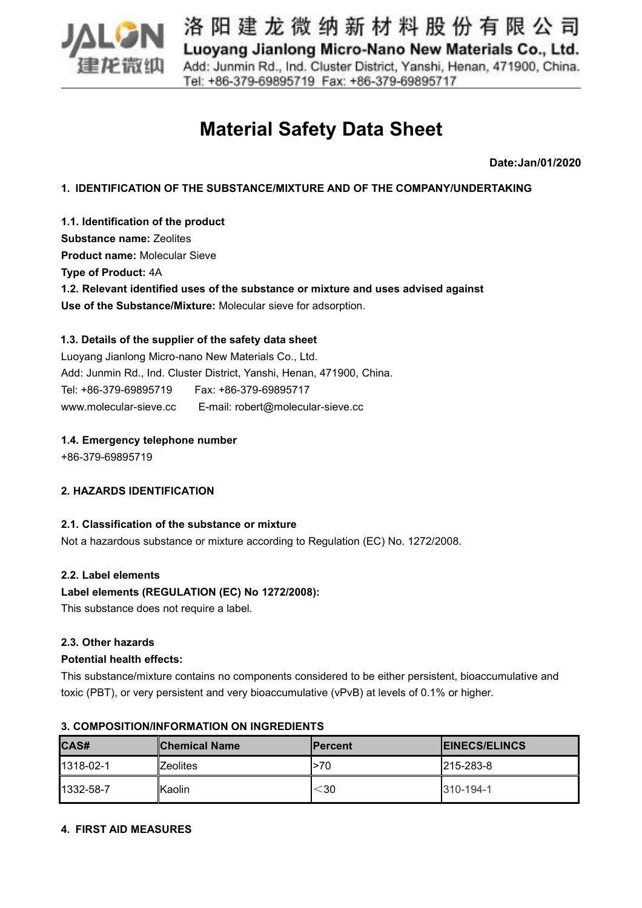

# **Material Safety Data Sheet**

**Date:Jan/01/2020**

**1. IDENTIFICATION OF THE SUBSTANCE/MIXTURE AND OF THE COMPANY/UNDERTAKING**

**1.1. Identification of the product Substance name:** Zeolites **Product name:** Molecular Sieve **Type of Product:** 4A **1.2. Relevant identified uses of the substance or mixture and uses advised against Use of the Substance/Mixture:** Molecular sieve for adsorption.

# **1.3. Details of the supplier of the safety data sheet**

Luoyang Jianlong Micro-nano New Materials Co., Ltd.<br>Add: Junmin Rd., Ind. Cluster District, Yanshi, Henan, 471900, China. Tel: +86-379-69895719 Fax: +86-379-69895717 www.molecular-sieve.cc E-mail: robert@molecular-sieve.cc

## **1.4. Emergency telephone number**

+86-379-69895719

# **2. HAZARDS IDENTIFICATION**

#### **2.1. Classification of the substance or mixture**

Not a hazardous substance or mixture according to Regulation (EC) No. 1272/2008.

#### **2.2. Label elements**

# **Label elements (REGULATION (EC) No 1272/2008):**

This substance does not require a label.

#### **2.3. Other hazards**

#### **Potential health effects:**

This substance/mixture contains no components considered to be either persistent, bioaccumulative and toxic (PBT), or very persistent and very bioaccumulative (vPvB) atlevels of 0.1% or higher.

| <b>CAS#</b> | <b>Chemical Name</b> | <b>IPercent</b> | <b>IEINECS/ELINCS</b> |
|-------------|----------------------|-----------------|-----------------------|
| 1318-02-1   | `Zeolites            | l>70            | $ 215 - 283 - 8 $     |
| 1332-58-7   | lKaolin              | $<$ 30          | $1310 - 194 - 1$      |

#### **3. COMPOSITION/INFORMATION ON INGREDIENTS**

#### **4. FIRST AID MEASURES**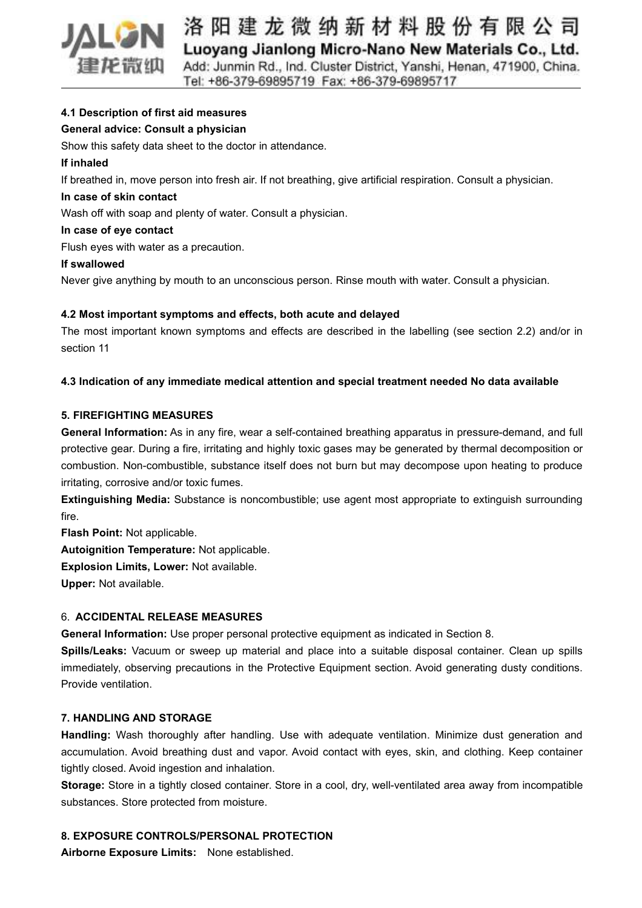

## **4.1 Description of first aid measures**

## **General advice: Consult a physician**

Show this safety data sheet to the doctor in attendance.

#### **If inhaled**

If breathed in, move person into fresh air. If not breathing, give artificial respiration. Consult a physician.

## **In case of skin contact**

Wash off with soap and plenty of water. Consult a physician.

#### **In case of eye contact**

Flush eyes with water as a precaution.

#### **If swallowed**

Never give anything by mouth to an unconscious person. Rinse mouth with water. Consult a physician.

#### **4.2 Most important symptoms and effects, both acute and delayed**

The most important known symptoms and effects are described in the labelling (see section 2.2) and/or in section 11

#### **4.3 Indication of any immediate medical attention and special treatment needed No data available**

#### **5. FIREFIGHTING MEASURES**

**General Information:** As in any fire, wear a self-contained breathing apparatus in pressure-demand, and full protective gear. During a fire, irritating and highly toxic gases may be generated by thermal decomposition or combustion. Non-combustible, substance itself does not burn but may decompose upon heating to produce irritating, corrosive and/or toxic fumes.

**Extinguishing Media:** Substance is noncombustible; use agent most appropriate to extinguish surrounding fire.

**Flash Point:** Not applicable.

**Autoignition Temperature:** Not applicable.

**Explosion Limits, Lower:** Not available.

**Upper:** Not available.

#### 6. **ACCIDENTAL RELEASE MEASURES**

**General Information:** Use proper personal protective equipment as indicated in Section 8.

**Spills/Leaks:** Vacuum or sweep up material and place into a suitable disposal container. Clean up spills immediately, observing precautions in the Protective Equipment section. Avoid generating dusty conditions. Provide ventilation.

## **7. HANDLING AND STORAGE**

**Handling:** Wash thoroughly after handling. Use with adequate ventilation. Minimize dust generation and accumulation. Avoid breathing dust and vapor. Avoid contact with eyes, skin, and clothing. Keep container tightly closed. Avoid ingestion and inhalation.

**Storage:** Store in a tightly closed container. Store in a cool, dry, well-ventilated area away from incompatible substances. Store protected from moisture.

#### **8. EXPOSURE CONTROLS/PERSONAL PROTECTION**

**Airborne Exposure Limits:** None established.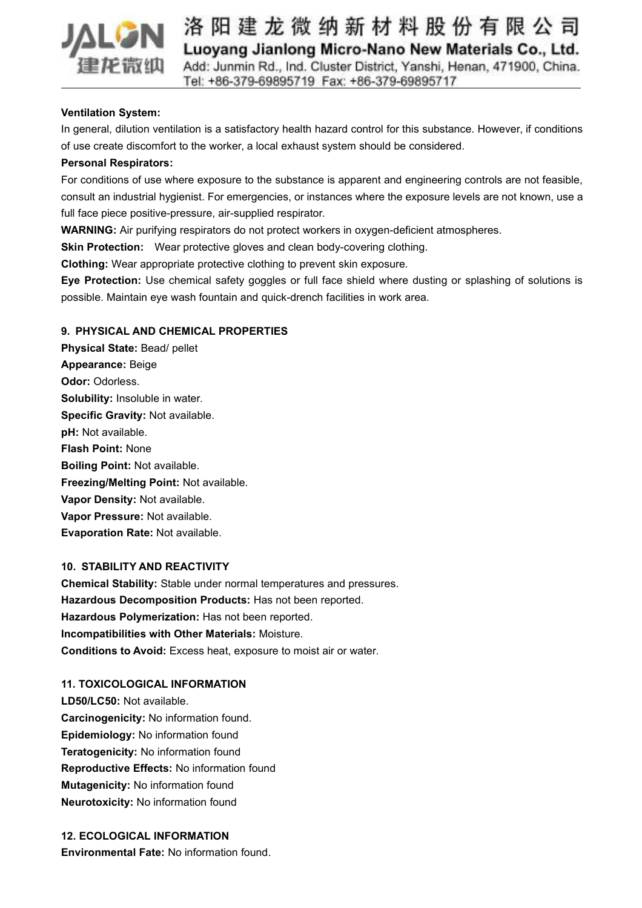

## **Ventilation System:**

In general, dilution ventilation is a satisfactory health hazard control for this substance. However, if conditions of use create discomfort to the worker, a local exhaust system should be considered.

## **Personal Respirators:**

For conditions of use where exposure to the substance is apparent and engineering controls are not feasible, consult an industrial hygienist. For emergencies, or instances where the exposure levels are not known, use a full face piece positive-pressure, air-supplied respirator.

**WARNING:** Air purifying respirators do not protect workers in oxygen-deficient atmospheres.

**Skin Protection:** Wear protective gloves and clean body-covering clothing.

**Clothing:** Wear appropriate protective clothing to prevent skin exposure.

**Eye Protection:** Use chemical safety goggles or full face shield where dusting or splashing of solutions is possible. Maintain eye wash fountain and quick-drench facilities in work area.

## **9. PHYSICAL AND CHEMICAL PROPERTIES**

**Physical State:** Bead/ pellet **Appearance:** Beige **Odor:** Odorless. **Solubility:** Insoluble in water. **Specific Gravity:** Not available. **pH:** Not available. **Flash Point:** None **Boiling Point:** Not available. **Freezing/Melting Point:** Not available. **Vapor Density:** Not available. **Vapor Pressure:** Not available. **Evaporation Rate:** Not available.

# **10. STABILITY AND REACTIVITY**

**Chemical Stability:** Stable under normal temperatures and pressures. **Hazardous Decomposition Products:** Has not been reported. **Hazardous Polymerization:** Has not been reported. **Incompatibilities with Other Materials:** Moisture. **Conditions to Avoid:** Excess heat, exposure to moist air or water.

#### **11. TOXICOLOGICAL INFORMATION**

**LD50/LC50:** Not available. **Carcinogenicity:** No information found. **Epidemiology:** No information found **Teratogenicity:** No information found **Reproductive Effects:** No information found **Mutagenicity:** No information found **Neurotoxicity:** No information found

# **12. ECOLOGICAL INFORMATION**

**Environmental Fate:** No information found.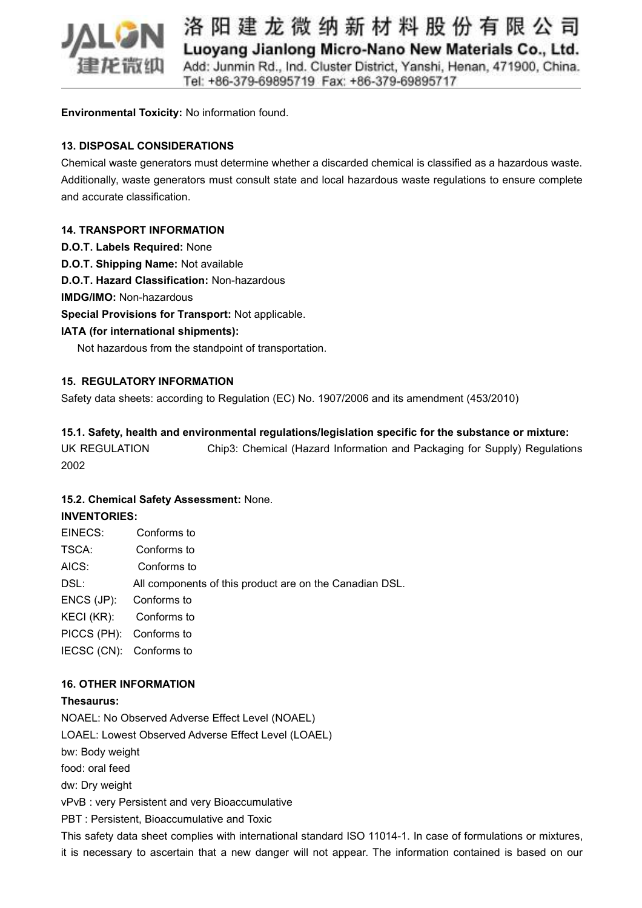

**Environmental Toxicity:** No information found.

# **13. DISPOSAL CONSIDERATIONS**

Chemical waste generators must determine whether a discarded chemical is classified as a hazardous waste. Additionally, waste generators must consult state and local hazardous waste regulations to ensure complete and accurate classification.

## **14. TRANSPORT INFORMATION**

- **D.O.T. Labels Required:** None
- **D.O.T. Shipping Name:** Not available

**D.O.T. Hazard Classification:** Non-hazardous

**IMDG/IMO:** Non-hazardous

**Special Provisions for Transport:** Not applicable.

# **IATA (for international shipments):**

Not hazardous from the standpoint of transportation.

## **15. REGULATORY INFORMATION**

Safety data sheets: according to Regulation (EC) No. 1907/2006 and its amendment (453/2010)

## **15.1. Safety, health and environmental regulations/legislation specific for the substance or mixture:**

UK REGULATION Chip3: Chemical (Hazard Information and Packaging for Supply) Regulations 2002

#### **15.2. Chemical Safety Assessment:** None.

#### **INVENTORIES:**

| EINECS:                 | Conforms to                                             |
|-------------------------|---------------------------------------------------------|
| TSCA:                   | Conforms to                                             |
| AICS:                   | Conforms to                                             |
| DSL:                    | All components of this product are on the Canadian DSL. |
| $ENCS(JP)$ :            | Conforms to                                             |
| KECI (KR):              | Conforms to                                             |
| PICCS (PH): Conforms to |                                                         |
| IECSC (CN): Conforms to |                                                         |
|                         |                                                         |

#### **16. OTHER INFORMATION**

#### **Thesaurus:**

NOAEL: No Observed Adverse Effect Level (NOAEL) LOAEL: Lowest Observed Adverse Effect Level (LOAEL) bw: Body weight food: oral feed dw: Dry weight vPvB : very Persistent and very Bioaccumulative PBT : Persistent, Bioaccumulative and Toxic This safety data sheet complies with international standard ISO 11014-1. In case of formulations or mixtures, it is necessary to ascertain that a new danger will not appear. The information contained isbased on our